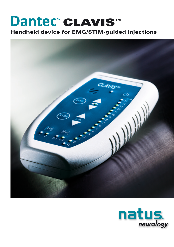# Dantec" CLAVIS™

## Handheld device for EMG/STIM-guided injections



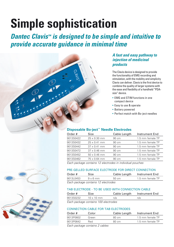# **Simple sophistication**

*Dantec Clavis™ is designed to be simple and intuitive to provide accurate guidance in minimal time*



## *A fast and easy pathway to injection of medicinal products*

The Clavis device is designed to provide the functionality of EMG recording and stimulation, with the mobility and simplicity Clavis can deliver. Clavis is the first device to combine the quality of larger systems with the ease and flexibility of a handheld "PDAsize" device.

- EMG and STIM functions in one compact device
- Easy to use & operate
- Battery powered
- Perfect match with Bo-ject needles

#### **Disposable Bo-ject™ Needle Electrodes**

| Order #   | Size                | Cable Length | Instrument End   |
|-----------|---------------------|--------------|------------------|
| 9013S0422 | $25 \times 0.30$ mm | 90 cm        | 1.5 mm female TP |
| 9013S0432 | $25 \times 0.41$ mm | 90 cm        | 1.5 mm female TP |
| 9013S0442 | $37 \times 0.41$ mm | 90 cm        | 1.5 mm female TP |
| 9013S0472 | $37 \times 0.46$ mm | 90 cm        | 1.5 mm female TP |
| 9013S0452 | $50 \times 0.46$ mm | 90 cm        | 1.5 mm female TP |
| 9013S0462 | 75 x 0.64 mm        | 90 cm        | 1.5 mm female TP |
|           |                     |              |                  |

*Each package contains 12 electrodes in individual pouches*

#### Pre-gelled surface electrode for direct connection

| Order #                             | Size            | Cable Length | Instrument End   |  |  |
|-------------------------------------|-----------------|--------------|------------------|--|--|
| 9013L0453                           | $9 \times 6$ mm | .50 cm       | 1.5 mm female TP |  |  |
| Each package contains 12 electrodos |                 |              |                  |  |  |

*Each package contains 12 electrodes*

#### Tab electrode - to be used with connection cable

| Order #   | Size              |     | Cable Length Instrument End |
|-----------|-------------------|-----|-----------------------------|
| 9013S0232 | $10 \times 10$ mm | n/a | n/a                         |
|           |                   |     |                             |

*Each package contains 100 electrodes*

#### Connection cable for Tab electrodes

| Order #   | Color | Cable Length | Instrument End   |
|-----------|-------|--------------|------------------|
| 9013P0602 | Green | 80 cm        | 1.5 mm female TP |
| 9013P0642 | Red   | 80 cm        | 1.5 mm female TP |
|           |       |              |                  |

*Each package contains 2 cables*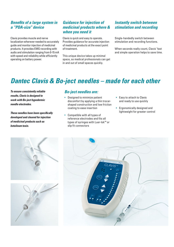## *Benefits of a large system in a "PDA-size" device*

Clavis provides muscle and nerve localization wherever needed to accurately guide and monitor injection of medicinal products. It provides EMG recording with audio and stimulation ranging from 0-15 mA with speed and reliability while efficiently operating on battery power.

## *Guidance for injection of medicinal products where & when you need it*

Clavis is quick and easy to operate. Provides guidance for accurate injection of medicinal products at the exact point of treatment.

This unique device takes up minimal space, so medical professionals can get in and out of small spaces quickly.

## *Instantly switch between stimulation and recording*

Single-handedly switch between stimulation and recording functions.

When seconds really count, Clavis' fast and simple operation helps to save time.

# *Dantec Clavis & Bo-ject needles – made for each other*

*To ensure consistently reliable results, Clavis is designed to work with Bo-ject hypodermic needle electrodes.*

*These needles have been specifically developed and cleared for injection of medicinal products such as botulinum toxin.*

#### *Bo-ject needles are:*

- Designed to minimize patient discomfort by applying a thin trocarshaped construction and low friction coating to ease insertion
- Compatible with all types of reference electrodes and fits all types of syringes with Luer-lok™ or slip fit connectors
- Easy to attach to Clavis and ready to use quickly
- Ergonomically designed and lightweight for greater control